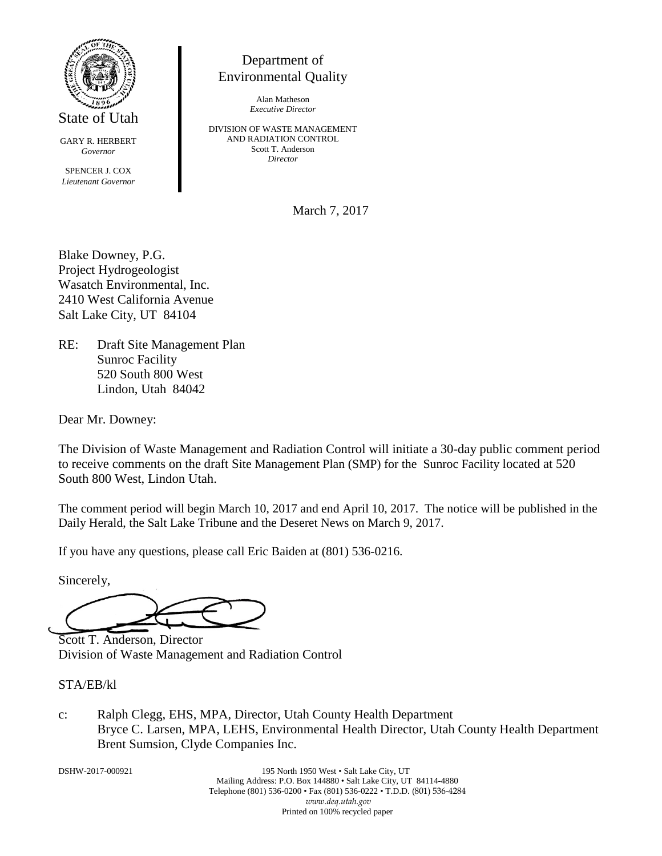

State of Utah

GARY R. HERBERT *Governor*

SPENCER J. COX *Lieutenant Governor*

# Department of Environmental Quality

Alan Matheson *Executive Director*

DIVISION OF WASTE MANAGEMENT AND RADIATION CONTROL Scott T. Anderson *Director*

March 7, 2017

Blake Downey, P.G. Project Hydrogeologist Wasatch Environmental, Inc. 2410 West California Avenue Salt Lake City, UT 84104

RE: Draft Site Management Plan Sunroc Facility 520 South 800 West Lindon, Utah 84042

Dear Mr. Downey:

The Division of Waste Management and Radiation Control will initiate a 30-day public comment period to receive comments on the draft Site Management Plan (SMP) for the Sunroc Facility located at 520 South 800 West, Lindon Utah.

The comment period will begin March 10, 2017 and end April 10, 2017. The notice will be published in the Daily Herald, the Salt Lake Tribune and the Deseret News on March 9, 2017.

If you have any questions, please call Eric Baiden at (801) 536-0216.

Sincerely,

Scott T. Anderson, Director Division of Waste Management and Radiation Control

### STA/EB/kl

c: Ralph Clegg, EHS, MPA, Director, Utah County Health Department Bryce C. Larsen, MPA, LEHS, Environmental Health Director, Utah County Health Department Brent Sumsion, Clyde Companies Inc.

DSHW-2017-000921 195 North 1950 West • Salt Lake City, UT Mailing Address: P.O. Box 144880 • Salt Lake City, UT 84114-4880 Telephone (801) 536-0200 • Fax (801) 536-0222 • T.D.D. (801) 536-4284 *www.deq.utah.gov* Printed on 100% recycled paper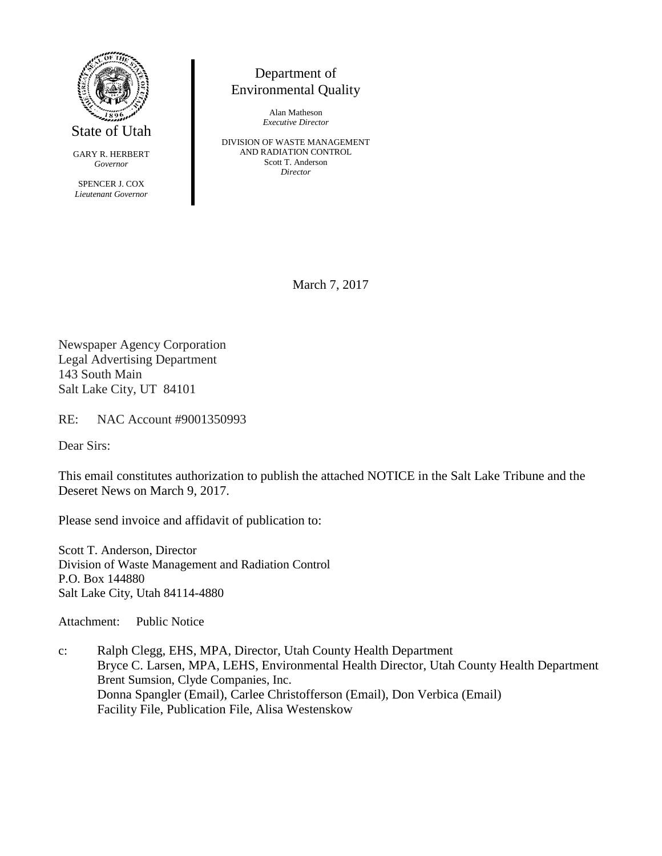

State of Utah

GARY R. HERBERT *Governor*

SPENCER J. COX *Lieutenant Governor*

## Department of Environmental Quality

Alan Matheson *Executive Director*

DIVISION OF WASTE MANAGEMENT AND RADIATION CONTROL Scott T. Anderson *Director*

March 7, 2017

Newspaper Agency Corporation Legal Advertising Department 143 South Main Salt Lake City, UT 84101

RE: NAC Account #9001350993

Dear Sirs:

This email constitutes authorization to publish the attached NOTICE in the Salt Lake Tribune and the Deseret News on March 9, 2017.

Please send invoice and affidavit of publication to:

Scott T. Anderson, Director Division of Waste Management and Radiation Control P.O. Box 144880 Salt Lake City, Utah 84114-4880

Attachment: Public Notice

c: Ralph Clegg, EHS, MPA, Director, Utah County Health Department Bryce C. Larsen, MPA, LEHS, Environmental Health Director, Utah County Health Department Brent Sumsion, Clyde Companies, Inc. Donna Spangler (Email), Carlee Christofferson (Email), Don Verbica (Email) Facility File, Publication File, Alisa Westenskow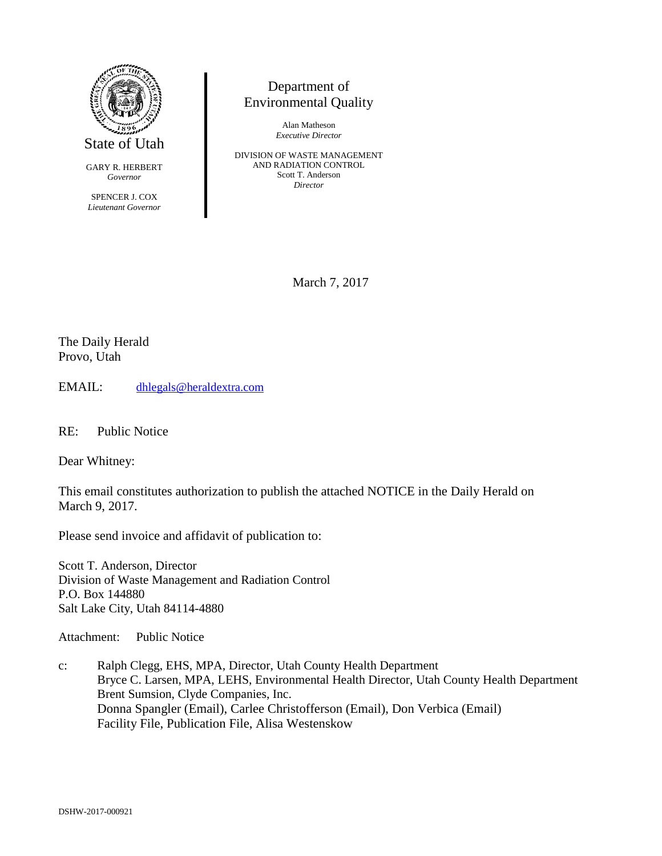

GARY R. HERBERT *Governor*

SPENCER J. COX *Lieutenant Governor*

## Department of Environmental Quality

Alan Matheson *Executive Director*

DIVISION OF WASTE MANAGEMENT AND RADIATION CONTROL Scott T. Anderson *Director*

March 7, 2017

The Daily Herald Provo, Utah

EMAIL: [dhlegals@heraldextra.com](mailto:dhlegals@heraldextra.com)

RE: Public Notice

Dear Whitney:

This email constitutes authorization to publish the attached NOTICE in the Daily Herald on March 9, 2017.

Please send invoice and affidavit of publication to:

Scott T. Anderson, Director Division of Waste Management and Radiation Control P.O. Box 144880 Salt Lake City, Utah 84114-4880

Attachment: Public Notice

c: Ralph Clegg, EHS, MPA, Director, Utah County Health Department Bryce C. Larsen, MPA, LEHS, Environmental Health Director, Utah County Health Department Brent Sumsion, Clyde Companies, Inc. Donna Spangler (Email), Carlee Christofferson (Email), Don Verbica (Email) Facility File, Publication File, Alisa Westenskow